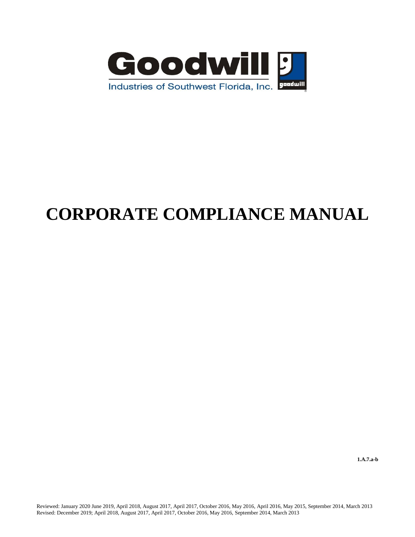

# **CORPORATE COMPLIANCE MANUAL**

**1.A.7.a-b**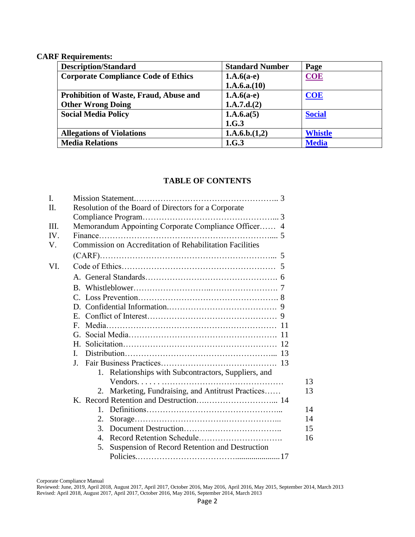#### **CARF Requirements:**

| <b>Description/Standard</b>                | <b>Standard Number</b> | Page           |
|--------------------------------------------|------------------------|----------------|
| <b>Corporate Compliance Code of Ethics</b> | $1.A.6(a-e)$           | <b>COE</b>     |
|                                            | 1.A.6.a.(10)           |                |
| Prohibition of Waste, Fraud, Abuse and     | $1.A.6(a-e)$           | <b>COE</b>     |
| <b>Other Wrong Doing</b>                   | 1.A.7.d.(2)            |                |
| <b>Social Media Policy</b>                 | 1.A.6.a(5)             | <b>Social</b>  |
|                                            | 1.G.3                  |                |
| <b>Allegations of Violations</b>           | 1.A.6.b.(1,2)          | <b>Whistle</b> |
| <b>Media Relations</b>                     | 1.G.3                  | <b>Media</b>   |

#### **TABLE OF CONTENTS**

| I.   |                                                          |
|------|----------------------------------------------------------|
| II.  | Resolution of the Board of Directors for a Corporate     |
|      |                                                          |
| III. | Memorandum Appointing Corporate Compliance Officer 4     |
| IV.  |                                                          |
| V.   | Commission on Accreditation of Rehabilitation Facilities |
|      |                                                          |
| VI.  |                                                          |
|      |                                                          |
|      |                                                          |
|      |                                                          |
|      |                                                          |
|      | E.                                                       |
|      | $\mathbf{F}$                                             |
|      | G.                                                       |
|      | $H_{\cdot}$                                              |
|      | L                                                        |
|      | $\bf{I}$ .                                               |
|      | 1. Relationships with Subcontractors, Suppliers, and     |
|      |                                                          |
|      | 2. Marketing, Fundraising, and Antitrust Practices       |
|      |                                                          |
|      |                                                          |
|      | 2.                                                       |
|      | 3.                                                       |
|      | 4.                                                       |
|      | Suspension of Record Retention and Destruction<br>5.     |
|      |                                                          |

Corporate Compliance Manual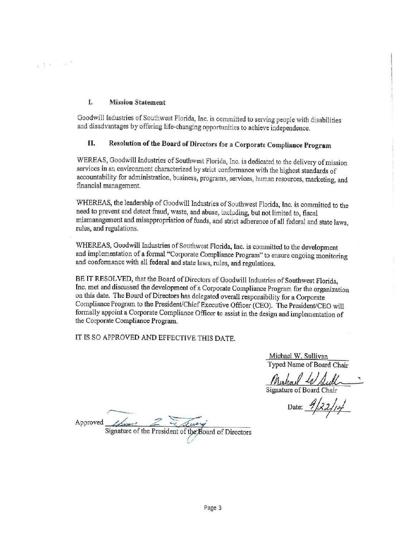#### I. **Mission Statement**

 $\frac{1}{4}$  ,  $\frac{1}{4}$  ,  $\frac{1}{4}$  ,  $\frac{1}{4}$  ,  $\frac{1}{4}$ 

Goodwill Industries of Southwest Florida, Inc. is committed to serving people with disabilities and disadvantages by offering life-changing opportunities to achieve independence.

#### Resolution of the Board of Directors for a Corporate Compliance Program II.

WEREAS, Goodwill Industries of Southwest Florida, Inc. is dedicated to the delivery of mission services in an environment characterized by strict conformance with the highest standards of accountability for administration, business, programs, services, human resources, marketing, and financial management.

WHEREAS, the leadership of Goodwill Industries of Southwest Florida, Inc. is committed to the need to prevent and detect fraud, waste, and abuse, including, but not limited to, fiscal mismanagement and misappropriation of funds, and strict adherence of all federal and state laws, rules, and regulations.

WHEREAS, Goodwill Industries of Southwest Florida, Inc. is committed to the development and implementation of a formal "Corporate Compliance Program" to ensure ongoing monitoring and conformance with all federal and state laws, rules, and regulations.

BE IT RESOLVED, that the Board of Directors of Goodwill Industries of Southwest Florida, Inc. met and discussed the development of a Corporate Compliance Program for the organization on this date. The Board of Directors has delegated overall responsibility for a Corporate Compliance Program to the President/Chief Executive Officer (CEO). The President/CEO will formally appoint a Corporate Compliance Officer to assist in the design and implementation of the Corporate Compliance Program.

IT IS SO APPROVED AND EFFECTIVE THIS DATE.

Michael W. Sullivan Typed Name of Board Chair

Muhaul W Sull

Date:  $9/22/14$ 

Approved

Signature of the President of the Board of Directors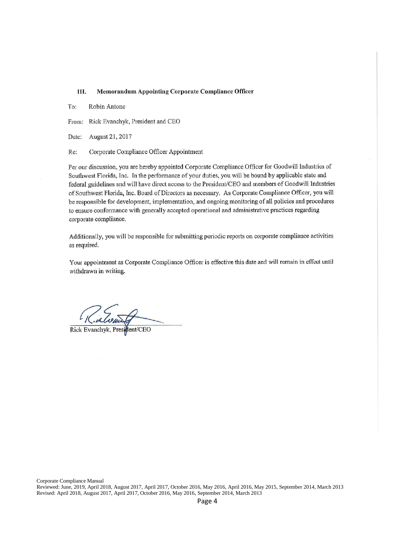#### Ш. **Memorandum Appointing Corporate Compliance Officer**

To: Robin Antone

From: Rick Evanchyk, President and CEO

Date: August 21, 2017

Re: Corporate Compliance Officer Appointment

Per our discussion, you are hereby appointed Corporate Compliance Officer for Goodwill Industries of Southwest Florida, Inc. In the performance of your duties, you will be bound by applicable state and federal guidelines and will have direct access to the President/CEO and members of Goodwill Industries of Southwest Florida, Inc. Board of Directors as necessary. As Corporate Compliance Officer, you will be responsible for development, implementation, and ongoing monitoring of all policies and procedures to ensure conformance with generally accepted operational and administrative practices regarding corporate compliance.

Additionally, you will be responsible for submitting periodic reports on corporate compliance activities as required.

Your appointment as Corporate Compliance Officer is effective this date and will remain in effect until withdrawn in writing.

Rick Evanchyk, President/CEO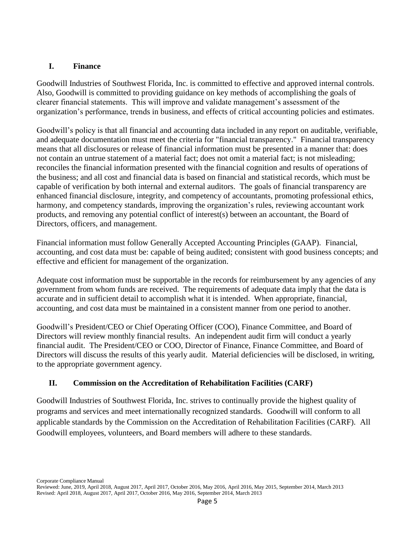## **I. Finance**

Goodwill Industries of Southwest Florida, Inc. is committed to effective and approved internal controls. Also, Goodwill is committed to providing guidance on key methods of accomplishing the goals of clearer financial statements. This will improve and validate management's assessment of the organization's performance, trends in business, and effects of critical accounting policies and estimates.

Goodwill's policy is that all financial and accounting data included in any report on auditable, verifiable, and adequate documentation must meet the criteria for "financial transparency." Financial transparency means that all disclosures or release of financial information must be presented in a manner that: does not contain an untrue statement of a material fact; does not omit a material fact; is not misleading; reconciles the financial information presented with the financial cognition and results of operations of the business; and all cost and financial data is based on financial and statistical records, which must be capable of verification by both internal and external auditors. The goals of financial transparency are enhanced financial disclosure, integrity, and competency of accountants, promoting professional ethics, harmony, and competency standards, improving the organization's rules, reviewing accountant work products, and removing any potential conflict of interest(s) between an accountant, the Board of Directors, officers, and management.

Financial information must follow Generally Accepted Accounting Principles (GAAP). Financial, accounting, and cost data must be: capable of being audited; consistent with good business concepts; and effective and efficient for management of the organization.

Adequate cost information must be supportable in the records for reimbursement by any agencies of any government from whom funds are received. The requirements of adequate data imply that the data is accurate and in sufficient detail to accomplish what it is intended. When appropriate, financial, accounting, and cost data must be maintained in a consistent manner from one period to another.

Goodwill's President/CEO or Chief Operating Officer (COO), Finance Committee, and Board of Directors will review monthly financial results. An independent audit firm will conduct a yearly financial audit. The President/CEO or COO, Director of Finance, Finance Committee, and Board of Directors will discuss the results of this yearly audit. Material deficiencies will be disclosed, in writing, to the appropriate government agency.

## **II. Commission on the Accreditation of Rehabilitation Facilities (CARF)**

Goodwill Industries of Southwest Florida, Inc. strives to continually provide the highest quality of programs and services and meet internationally recognized standards. Goodwill will conform to all applicable standards by the Commission on the Accreditation of Rehabilitation Facilities (CARF). All Goodwill employees, volunteers, and Board members will adhere to these standards.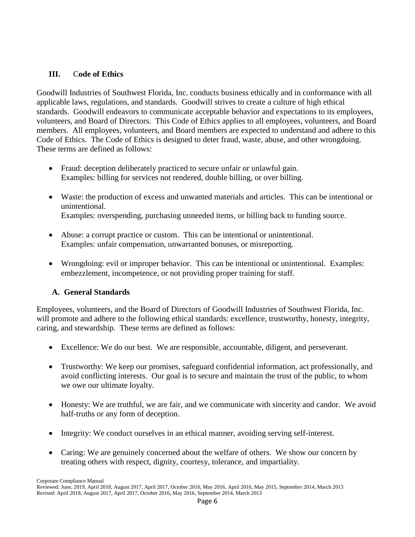#### <span id="page-5-0"></span>**III.** C**ode of Ethics**

Goodwill Industries of Southwest Florida, Inc. conducts business ethically and in conformance with all applicable laws, regulations, and standards. Goodwill strives to create a culture of high ethical standards. Goodwill endeavors to communicate acceptable behavior and expectations to its employees, volunteers, and Board of Directors. This Code of Ethics applies to all employees, volunteers, and Board members. All employees, volunteers, and Board members are expected to understand and adhere to this Code of Ethics. The Code of Ethics is designed to deter fraud, waste, abuse, and other wrongdoing. These terms are defined as follows:

- Fraud: deception deliberately practiced to secure unfair or unlawful gain. Examples: billing for services not rendered, double billing, or over billing.
- Waste: the production of excess and unwanted materials and articles. This can be intentional or unintentional. Examples: overspending, purchasing unneeded items, or billing back to funding source.
- Abuse: a corrupt practice or custom. This can be intentional or unintentional. Examples: unfair compensation, unwarranted bonuses, or misreporting.
- Wrongdoing: evil or improper behavior. This can be intentional or unintentional. Examples: embezzlement, incompetence, or not providing proper training for staff.

## **A. General Standards**

Employees, volunteers, and the Board of Directors of Goodwill Industries of Southwest Florida, Inc. will promote and adhere to the following ethical standards: excellence, trustworthy, honesty, integrity, caring, and stewardship. These terms are defined as follows:

- Excellence: We do our best. We are responsible, accountable, diligent, and perseverant.
- Trustworthy: We keep our promises, safeguard confidential information, act professionally, and avoid conflicting interests. Our goal is to secure and maintain the trust of the public, to whom we owe our ultimate loyalty.
- Honesty: We are truthful, we are fair, and we communicate with sincerity and candor. We avoid half-truths or any form of deception.
- Integrity: We conduct ourselves in an ethical manner, avoiding serving self-interest.
- Caring: We are genuinely concerned about the welfare of others. We show our concern by treating others with respect, dignity, courtesy, tolerance, and impartiality.

Corporate Compliance Manual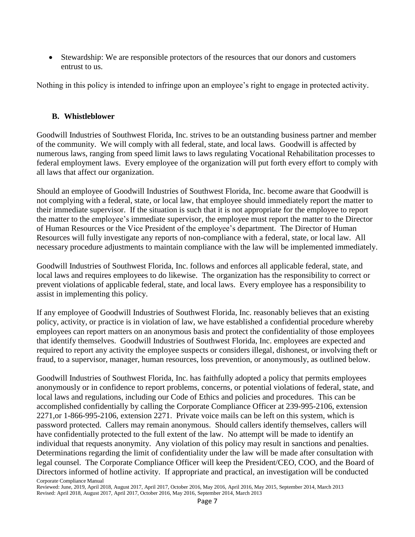Stewardship: We are responsible protectors of the resources that our donors and customers entrust to us.

Nothing in this policy is intended to infringe upon an employee's right to engage in protected activity.

#### <span id="page-6-0"></span>**B. Whistleblower**

Goodwill Industries of Southwest Florida, Inc. strives to be an outstanding business partner and member of the community. We will comply with all federal, state, and local laws. Goodwill is affected by numerous laws, ranging from speed limit laws to laws regulating Vocational Rehabilitation processes to federal employment laws. Every employee of the organization will put forth every effort to comply with all laws that affect our organization.

Should an employee of Goodwill Industries of Southwest Florida, Inc. become aware that Goodwill is not complying with a federal, state, or local law, that employee should immediately report the matter to their immediate supervisor. If the situation is such that it is not appropriate for the employee to report the matter to the employee's immediate supervisor, the employee must report the matter to the Director of Human Resources or the Vice President of the employee's department. The Director of Human Resources will fully investigate any reports of non-compliance with a federal, state, or local law. All necessary procedure adjustments to maintain compliance with the law will be implemented immediately.

Goodwill Industries of Southwest Florida, Inc. follows and enforces all applicable federal, state, and local laws and requires employees to do likewise. The organization has the responsibility to correct or prevent violations of applicable federal, state, and local laws. Every employee has a responsibility to assist in implementing this policy.

If any employee of Goodwill Industries of Southwest Florida, Inc. reasonably believes that an existing policy, activity, or practice is in violation of law, we have established a confidential procedure whereby employees can report matters on an anonymous basis and protect the confidentiality of those employees that identify themselves. Goodwill Industries of Southwest Florida, Inc. employees are expected and required to report any activity the employee suspects or considers illegal, dishonest, or involving theft or fraud, to a supervisor, manager, human resources, loss prevention, or anonymously, as outlined below.

Corporate Compliance Manual Goodwill Industries of Southwest Florida, Inc. has faithfully adopted a policy that permits employees anonymously or in confidence to report problems, concerns, or potential violations of federal, state, and local laws and regulations, including our Code of Ethics and policies and procedures. This can be accomplished confidentially by calling the Corporate Compliance Officer at 239-995-2106, extension 2271,or 1-866-995-2106, extension 2271. Private voice mails can be left on this system, which is password protected. Callers may remain anonymous. Should callers identify themselves, callers will have confidentially protected to the full extent of the law. No attempt will be made to identify an individual that requests anonymity. Any violation of this policy may result in sanctions and penalties. Determinations regarding the limit of confidentiality under the law will be made after consultation with legal counsel. The Corporate Compliance Officer will keep the President/CEO, COO, and the Board of Directors informed of hotline activity. If appropriate and practical, an investigation will be conducted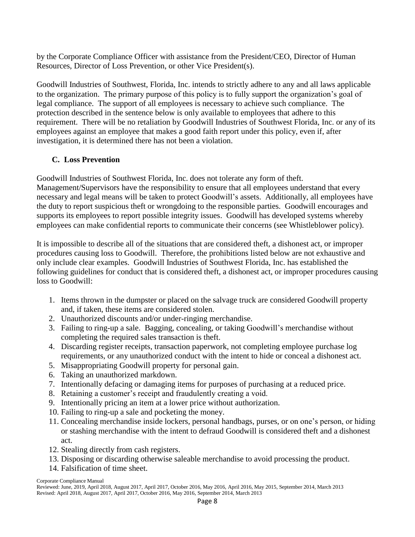by the Corporate Compliance Officer with assistance from the President/CEO, Director of Human Resources, Director of Loss Prevention, or other Vice President(s).

Goodwill Industries of Southwest, Florida, Inc. intends to strictly adhere to any and all laws applicable to the organization. The primary purpose of this policy is to fully support the organization's goal of legal compliance. The support of all employees is necessary to achieve such compliance. The protection described in the sentence below is only available to employees that adhere to this requirement. There will be no retaliation by Goodwill Industries of Southwest Florida, Inc. or any of its employees against an employee that makes a good faith report under this policy, even if, after investigation, it is determined there has not been a violation.

#### **C. Loss Prevention**

Goodwill Industries of Southwest Florida, Inc. does not tolerate any form of theft. Management/Supervisors have the responsibility to ensure that all employees understand that every necessary and legal means will be taken to protect Goodwill's assets. Additionally, all employees have the duty to report suspicious theft or wrongdoing to the responsible parties. Goodwill encourages and supports its employees to report possible integrity issues. Goodwill has developed systems whereby employees can make confidential reports to communicate their concerns (see Whistleblower policy).

It is impossible to describe all of the situations that are considered theft, a dishonest act, or improper procedures causing loss to Goodwill. Therefore, the prohibitions listed below are not exhaustive and only include clear examples. Goodwill Industries of Southwest Florida, Inc. has established the following guidelines for conduct that is considered theft, a dishonest act, or improper procedures causing loss to Goodwill:

- 1. Items thrown in the dumpster or placed on the salvage truck are considered Goodwill property and, if taken, these items are considered stolen.
- 2. Unauthorized discounts and/or under-ringing merchandise.
- 3. Failing to ring-up a sale. Bagging, concealing, or taking Goodwill's merchandise without completing the required sales transaction is theft.
- 4. Discarding register receipts, transaction paperwork, not completing employee purchase log requirements, or any unauthorized conduct with the intent to hide or conceal a dishonest act.
- 5. Misappropriating Goodwill property for personal gain.
- 6. Taking an unauthorized markdown.
- 7. Intentionally defacing or damaging items for purposes of purchasing at a reduced price.
- 8. Retaining a customer's receipt and fraudulently creating a void.
- 9. Intentionally pricing an item at a lower price without authorization.
- 10. Failing to ring-up a sale and pocketing the money.
- 11. Concealing merchandise inside lockers, personal handbags, purses, or on one's person, or hiding or stashing merchandise with the intent to defraud Goodwill is considered theft and a dishonest act.
- 12. Stealing directly from cash registers.
- 13. Disposing or discarding otherwise saleable merchandise to avoid processing the product.
- 14. Falsification of time sheet.

Reviewed: June, 2019, April 2018, August 2017, April 2017, October 2016, May 2016, April 2016, May 2015, September 2014, March 2013 Revised: April 2018, August 2017, April 2017, October 2016, May 2016, September 2014, March 2013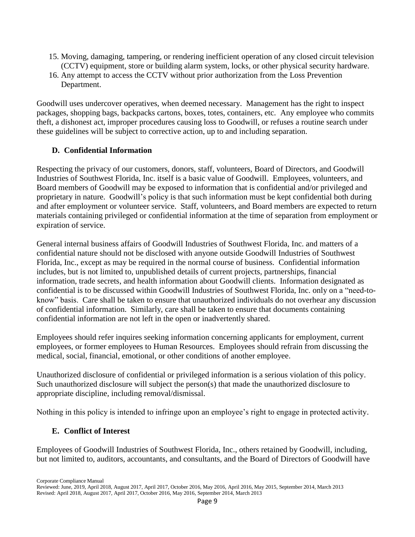- 15. Moving, damaging, tampering, or rendering inefficient operation of any closed circuit television (CCTV) equipment, store or building alarm system, locks, or other physical security hardware.
- 16. Any attempt to access the CCTV without prior authorization from the Loss Prevention Department.

Goodwill uses undercover operatives, when deemed necessary. Management has the right to inspect packages, shopping bags, backpacks cartons, boxes, totes, containers, etc. Any employee who commits theft, a dishonest act, improper procedures causing loss to Goodwill, or refuses a routine search under these guidelines will be subject to corrective action, up to and including separation.

#### **D. Confidential Information**

Respecting the privacy of our customers, donors, staff, volunteers, Board of Directors, and Goodwill Industries of Southwest Florida, Inc. itself is a basic value of Goodwill. Employees, volunteers, and Board members of Goodwill may be exposed to information that is confidential and/or privileged and proprietary in nature. Goodwill's policy is that such information must be kept confidential both during and after employment or volunteer service. Staff, volunteers, and Board members are expected to return materials containing privileged or confidential information at the time of separation from employment or expiration of service.

General internal business affairs of Goodwill Industries of Southwest Florida, Inc. and matters of a confidential nature should not be disclosed with anyone outside Goodwill Industries of Southwest Florida, Inc., except as may be required in the normal course of business. Confidential information includes, but is not limited to, unpublished details of current projects, partnerships, financial information, trade secrets, and health information about Goodwill clients. Information designated as confidential is to be discussed within Goodwill Industries of Southwest Florida, Inc. only on a "need-toknow" basis. Care shall be taken to ensure that unauthorized individuals do not overhear any discussion of confidential information. Similarly, care shall be taken to ensure that documents containing confidential information are not left in the open or inadvertently shared.

Employees should refer inquires seeking information concerning applicants for employment, current employees, or former employees to Human Resources. Employees should refrain from discussing the medical, social, financial, emotional, or other conditions of another employee.

Unauthorized disclosure of confidential or privileged information is a serious violation of this policy. Such unauthorized disclosure will subject the person(s) that made the unauthorized disclosure to appropriate discipline, including removal/dismissal.

Nothing in this policy is intended to infringe upon an employee's right to engage in protected activity.

## **E. Conflict of Interest**

Employees of Goodwill Industries of Southwest Florida, Inc., others retained by Goodwill, including, but not limited to, auditors, accountants, and consultants, and the Board of Directors of Goodwill have

Reviewed: June, 2019, April 2018, August 2017, April 2017, October 2016, May 2016, April 2016, May 2015, September 2014, March 2013 Revised: April 2018, August 2017, April 2017, October 2016, May 2016, September 2014, March 2013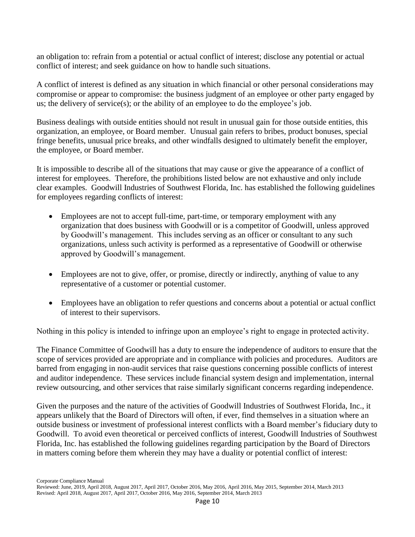an obligation to: refrain from a potential or actual conflict of interest; disclose any potential or actual conflict of interest; and seek guidance on how to handle such situations.

A conflict of interest is defined as any situation in which financial or other personal considerations may compromise or appear to compromise: the business judgment of an employee or other party engaged by us; the delivery of service(s); or the ability of an employee to do the employee's job.

Business dealings with outside entities should not result in unusual gain for those outside entities, this organization, an employee, or Board member. Unusual gain refers to bribes, product bonuses, special fringe benefits, unusual price breaks, and other windfalls designed to ultimately benefit the employer, the employee, or Board member.

It is impossible to describe all of the situations that may cause or give the appearance of a conflict of interest for employees. Therefore, the prohibitions listed below are not exhaustive and only include clear examples. Goodwill Industries of Southwest Florida, Inc. has established the following guidelines for employees regarding conflicts of interest:

- Employees are not to accept full-time, part-time, or temporary employment with any organization that does business with Goodwill or is a competitor of Goodwill, unless approved by Goodwill's management. This includes serving as an officer or consultant to any such organizations, unless such activity is performed as a representative of Goodwill or otherwise approved by Goodwill's management.
- Employees are not to give, offer, or promise, directly or indirectly, anything of value to any representative of a customer or potential customer.
- Employees have an obligation to refer questions and concerns about a potential or actual conflict of interest to their supervisors.

Nothing in this policy is intended to infringe upon an employee's right to engage in protected activity.

The Finance Committee of Goodwill has a duty to ensure the independence of auditors to ensure that the scope of services provided are appropriate and in compliance with policies and procedures. Auditors are barred from engaging in non-audit services that raise questions concerning possible conflicts of interest and auditor independence. These services include financial system design and implementation, internal review outsourcing, and other services that raise similarly significant concerns regarding independence.

Given the purposes and the nature of the activities of Goodwill Industries of Southwest Florida, Inc., it appears unlikely that the Board of Directors will often, if ever, find themselves in a situation where an outside business or investment of professional interest conflicts with a Board member's fiduciary duty to Goodwill. To avoid even theoretical or perceived conflicts of interest, Goodwill Industries of Southwest Florida, Inc. has established the following guidelines regarding participation by the Board of Directors in matters coming before them wherein they may have a duality or potential conflict of interest:

Reviewed: June, 2019, April 2018, August 2017, April 2017, October 2016, May 2016, April 2016, May 2015, September 2014, March 2013 Revised: April 2018, August 2017, April 2017, October 2016, May 2016, September 2014, March 2013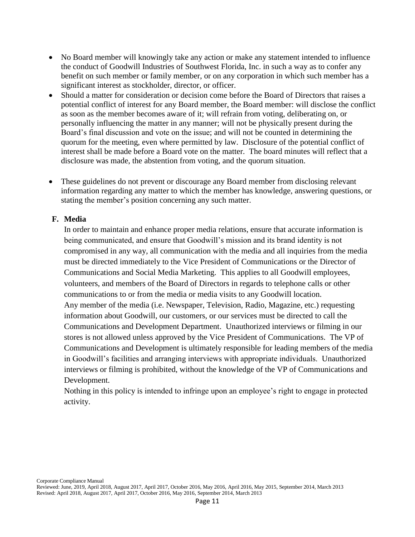- No Board member will knowingly take any action or make any statement intended to influence the conduct of Goodwill Industries of Southwest Florida, Inc. in such a way as to confer any benefit on such member or family member, or on any corporation in which such member has a significant interest as stockholder, director, or officer.
- Should a matter for consideration or decision come before the Board of Directors that raises a potential conflict of interest for any Board member, the Board member: will disclose the conflict as soon as the member becomes aware of it; will refrain from voting, deliberating on, or personally influencing the matter in any manner; will not be physically present during the Board's final discussion and vote on the issue; and will not be counted in determining the quorum for the meeting, even where permitted by law. Disclosure of the potential conflict of interest shall be made before a Board vote on the matter. The board minutes will reflect that a disclosure was made, the abstention from voting, and the quorum situation.
- These guidelines do not prevent or discourage any Board member from disclosing relevant information regarding any matter to which the member has knowledge, answering questions, or stating the member's position concerning any such matter.

#### **F. Media**

<span id="page-10-0"></span>In order to maintain and enhance proper media relations, ensure that accurate information is being communicated, and ensure that Goodwill's mission and its brand identity is not compromised in any way, all communication with the media and all inquiries from the media must be directed immediately to the Vice President of Communications or the Director of Communications and Social Media Marketing. This applies to all Goodwill employees, volunteers, and members of the Board of Directors in regards to telephone calls or other communications to or from the media or media visits to any Goodwill location. Any member of the media (i.e. Newspaper, Television, Radio, Magazine, etc.) requesting information about Goodwill, our customers, or our services must be directed to call the Communications and Development Department. Unauthorized interviews or filming in our stores is not allowed unless approved by the Vice President of Communications. The VP of Communications and Development is ultimately responsible for leading members of the media in Goodwill's facilities and arranging interviews with appropriate individuals. Unauthorized interviews or filming is prohibited, without the knowledge of the VP of Communications and Development.

Nothing in this policy is intended to infringe upon an employee's right to engage in protected activity.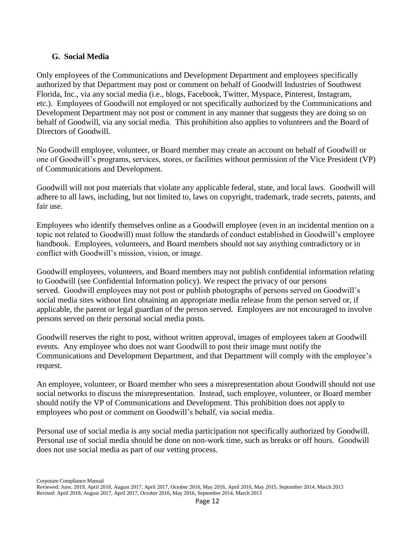#### <span id="page-11-0"></span>**G. Social Media**

Only employees of the Communications and Development Department and employees specifically authorized by that Department may post or comment on behalf of Goodwill Industries of Southwest Florida, Inc., via any social media (i.e., blogs, Facebook, Twitter, Myspace, Pinterest, Instagram, etc.). Employees of Goodwill not employed or not specifically authorized by the Communications and Development Department may not post or comment in any manner that suggests they are doing so on behalf of Goodwill, via any social media. This prohibition also applies to volunteers and the Board of Directors of Goodwill.

No Goodwill employee, volunteer, or Board member may create an account on behalf of Goodwill or one of Goodwill's programs, services, stores, or facilities without permission of the Vice President (VP) of Communications and Development.

Goodwill will not post materials that violate any applicable federal, state, and local laws. Goodwill will adhere to all laws, including, but not limited to, laws on copyright, trademark, trade secrets, patents, and fair use.

Employees who identify themselves online as a Goodwill employee (even in an incidental mention on a topic not related to Goodwill) must follow the standards of conduct established in Goodwill's employee handbook. Employees, volunteers, and Board members should not say anything contradictory or in conflict with Goodwill's mission, vision, or image.

Goodwill employees, volunteers, and Board members may not publish confidential information relating to Goodwill (see Confidential Information policy). We respect the privacy of our persons served. Goodwill employees may not post or publish photographs of persons served on Goodwill's social media sites without first obtaining an appropriate media release from the person served or, if applicable, the parent or legal guardian of the person served. Employees are not encouraged to involve persons served on their personal social media posts.

Goodwill reserves the right to post, without written approval, images of employees taken at Goodwill events. Any employee who does not want Goodwill to post their image must notify the Communications and Development Department, and that Department will comply with the employee's request.

An employee, volunteer, or Board member who sees a misrepresentation about Goodwill should not use social networks to discuss the misrepresentation. Instead, such employee, volunteer, or Board member should notify the VP of Communications and Development. This prohibition does not apply to employees who post or comment on Goodwill's behalf, via social media.

Personal use of social media is any social media participation not specifically authorized by Goodwill. Personal use of social media should be done on non-work time, such as breaks or off hours. Goodwill does not use social media as part of our vetting process.

Reviewed: June, 2019, April 2018, August 2017, April 2017, October 2016, May 2016, April 2016, May 2015, September 2014, March 2013 Revised: April 2018, August 2017, April 2017, October 2016, May 2016, September 2014, March 2013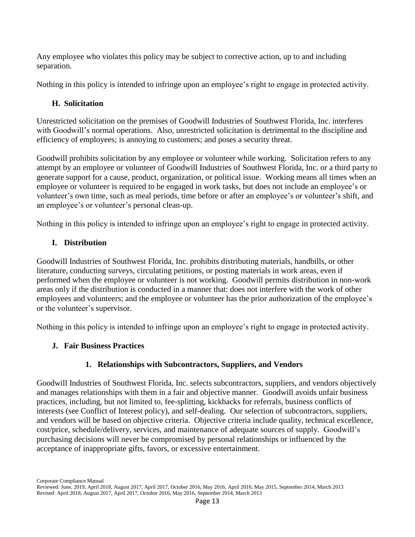Any employee who violates this policy may be subject to corrective action, up to and including separation.

Nothing in this policy is intended to infringe upon an employee's right to engage in protected activity.

#### **H. Solicitation**

Unrestricted solicitation on the premises of Goodwill Industries of Southwest Florida, Inc. interferes with Goodwill's normal operations. Also, unrestricted solicitation is detrimental to the discipline and efficiency of employees; is annoying to customers; and poses a security threat.

Goodwill prohibits solicitation by any employee or volunteer while working. Solicitation refers to any attempt by an employee or volunteer of Goodwill Industries of Southwest Florida, Inc. or a third party to generate support for a cause, product, organization, or political issue. Working means all times when an employee or volunteer is required to be engaged in work tasks, but does not include an employee's or volunteer's own time, such as meal periods, time before or after an employee's or volunteer's shift, and an employee's or volunteer's personal clean-up.

Nothing in this policy is intended to infringe upon an employee's right to engage in protected activity.

## **I. Distribution**

Goodwill Industries of Southwest Florida, Inc. prohibits distributing materials, handbills, or other literature, conducting surveys, circulating petitions, or posting materials in work areas, even if performed when the employee or volunteer is not working. Goodwill permits distribution in non-work areas only if the distribution is conducted in a manner that: does not interfere with the work of other employees and volunteers; and the employee or volunteer has the prior authorization of the employee's or the volunteer's supervisor.

Nothing in this policy is intended to infringe upon an employee's right to engage in protected activity.

## **J. Fair Business Practices**

## **1. Relationships with Subcontractors, Suppliers, and Vendors**

Goodwill Industries of Southwest Florida, Inc. selects subcontractors, suppliers, and vendors objectively and manages relationships with them in a fair and objective manner. Goodwill avoids unfair business practices, including, but not limited to, fee-splitting, kickbacks for referrals, business conflicts of interests (see Conflict of Interest policy), and self-dealing. Our selection of subcontractors, suppliers, and vendors will be based on objective criteria. Objective criteria include quality, technical excellence, cost/price, schedule/delivery, services, and maintenance of adequate sources of supply. Goodwill's purchasing decisions will never be compromised by personal relationships or influenced by the acceptance of inappropriate gifts, favors, or excessive entertainment.

Reviewed: June, 2019, April 2018, August 2017, April 2017, October 2016, May 2016, April 2016, May 2015, September 2014, March 2013 Revised: April 2018, August 2017, April 2017, October 2016, May 2016, September 2014, March 2013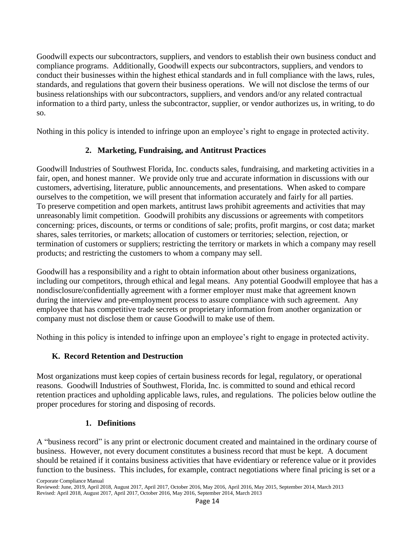Goodwill expects our subcontractors, suppliers, and vendors to establish their own business conduct and compliance programs. Additionally, Goodwill expects our subcontractors, suppliers, and vendors to conduct their businesses within the highest ethical standards and in full compliance with the laws, rules, standards, and regulations that govern their business operations. We will not disclose the terms of our business relationships with our subcontractors, suppliers, and vendors and/or any related contractual information to a third party, unless the subcontractor, supplier, or vendor authorizes us, in writing, to do so.

Nothing in this policy is intended to infringe upon an employee's right to engage in protected activity.

## **2. Marketing, Fundraising, and Antitrust Practices**

Goodwill Industries of Southwest Florida, Inc. conducts sales, fundraising, and marketing activities in a fair, open, and honest manner. We provide only true and accurate information in discussions with our customers, advertising, literature, public announcements, and presentations. When asked to compare ourselves to the competition, we will present that information accurately and fairly for all parties. To preserve competition and open markets, antitrust laws prohibit agreements and activities that may unreasonably limit competition. Goodwill prohibits any discussions or agreements with competitors concerning: prices, discounts, or terms or conditions of sale; profits, profit margins, or cost data; market shares, sales territories, or markets; allocation of customers or territories; selection, rejection, or termination of customers or suppliers; restricting the territory or markets in which a company may resell products; and restricting the customers to whom a company may sell.

Goodwill has a responsibility and a right to obtain information about other business organizations, including our competitors, through ethical and legal means. Any potential Goodwill employee that has a nondisclosure/confidentially agreement with a former employer must make that agreement known during the interview and pre-employment process to assure compliance with such agreement. Any employee that has competitive trade secrets or proprietary information from another organization or company must not disclose them or cause Goodwill to make use of them.

Nothing in this policy is intended to infringe upon an employee's right to engage in protected activity.

## **K. Record Retention and Destruction**

Most organizations must keep copies of certain business records for legal, regulatory, or operational reasons. Goodwill Industries of Southwest, Florida, Inc. is committed to sound and ethical record retention practices and upholding applicable laws, rules, and regulations. The policies below outline the proper procedures for storing and disposing of records.

#### **1. Definitions**

A "business record" is any print or electronic document created and maintained in the ordinary course of business. However, not every document constitutes a business record that must be kept. A document should be retained if it contains business activities that have evidentiary or reference value or it provides function to the business. This includes, for example, contract negotiations where final pricing is set or a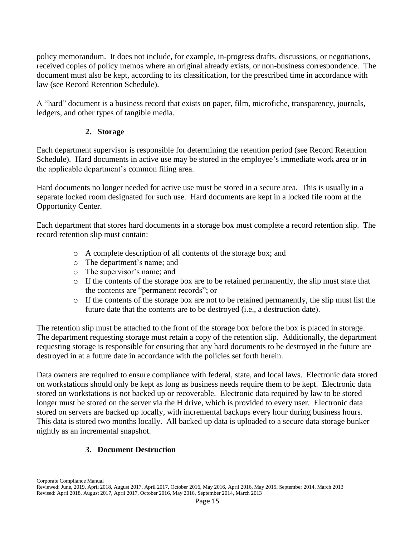policy memorandum. It does not include, for example, in-progress drafts, discussions, or negotiations, received copies of policy memos where an original already exists, or non-business correspondence. The document must also be kept, according to its classification, for the prescribed time in accordance with law (see Record Retention Schedule).

A "hard" document is a business record that exists on paper, film, microfiche, transparency, journals, ledgers, and other types of tangible media.

#### **2. Storage**

Each department supervisor is responsible for determining the retention period (see Record Retention Schedule). Hard documents in active use may be stored in the employee's immediate work area or in the applicable department's common filing area.

Hard documents no longer needed for active use must be stored in a secure area. This is usually in a separate locked room designated for such use. Hard documents are kept in a locked file room at the Opportunity Center.

Each department that stores hard documents in a storage box must complete a record retention slip. The record retention slip must contain:

- o A complete description of all contents of the storage box; and
- o The department's name; and
- o The supervisor's name; and
- $\circ$  If the contents of the storage box are to be retained permanently, the slip must state that the contents are "permanent records"; or
- o If the contents of the storage box are not to be retained permanently, the slip must list the future date that the contents are to be destroyed (i.e., a destruction date).

The retention slip must be attached to the front of the storage box before the box is placed in storage. The department requesting storage must retain a copy of the retention slip. Additionally, the department requesting storage is responsible for ensuring that any hard documents to be destroyed in the future are destroyed in at a future date in accordance with the policies set forth herein.

Data owners are required to ensure compliance with federal, state, and local laws. Electronic data stored on workstations should only be kept as long as business needs require them to be kept. Electronic data stored on workstations is not backed up or recoverable. Electronic data required by law to be stored longer must be stored on the server via the H drive, which is provided to every user. Electronic data stored on servers are backed up locally, with incremental backups every hour during business hours. This data is stored two months locally. All backed up data is uploaded to a secure data storage bunker nightly as an incremental snapshot.

#### **3. Document Destruction**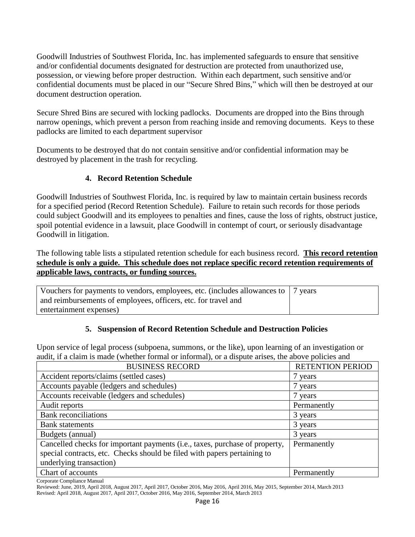Goodwill Industries of Southwest Florida, Inc. has implemented safeguards to ensure that sensitive and/or confidential documents designated for destruction are protected from unauthorized use, possession, or viewing before proper destruction. Within each department, such sensitive and/or confidential documents must be placed in our "Secure Shred Bins," which will then be destroyed at our document destruction operation.

Secure Shred Bins are secured with locking padlocks. Documents are dropped into the Bins through narrow openings, which prevent a person from reaching inside and removing documents. Keys to these padlocks are limited to each department supervisor

Documents to be destroyed that do not contain sensitive and/or confidential information may be destroyed by placement in the trash for recycling.

#### **4. Record Retention Schedule**

Goodwill Industries of Southwest Florida, Inc. is required by law to maintain certain business records for a specified period (Record Retention Schedule). Failure to retain such records for those periods could subject Goodwill and its employees to penalties and fines, cause the loss of rights, obstruct justice, spoil potential evidence in a lawsuit, place Goodwill in contempt of court, or seriously disadvantage Goodwill in litigation.

The following table lists a stipulated retention schedule for each business record. **This record retention schedule is only a guide. This schedule does not replace specific record retention requirements of applicable laws, contracts, or funding sources.**

| Vouchers for payments to vendors, employees, etc. (includes allowances to   7 years |  |
|-------------------------------------------------------------------------------------|--|
| and reimbursements of employees, officers, etc. for travel and                      |  |
| entertainment expenses)                                                             |  |

#### **5. Suspension of Record Retention Schedule and Destruction Policies**

Upon service of legal process (subpoena, summons, or the like), upon learning of an investigation or audit, if a claim is made (whether formal or informal), or a dispute arises, the above policies and

| <b>BUSINESS RECORD</b>                                                      | <b>RETENTION PERIOD</b> |
|-----------------------------------------------------------------------------|-------------------------|
| Accident reports/claims (settled cases)                                     | 7 years                 |
| Accounts payable (ledgers and schedules)                                    | 7 years                 |
| Accounts receivable (ledgers and schedules)                                 | 7 years                 |
| Audit reports                                                               | Permanently             |
| <b>Bank</b> reconciliations                                                 | 3 years                 |
| <b>Bank</b> statements                                                      | 3 years                 |
| Budgets (annual)                                                            | 3 years                 |
| Cancelled checks for important payments (i.e., taxes, purchase of property, | Permanently             |
| special contracts, etc. Checks should be filed with papers pertaining to    |                         |
| underlying transaction)                                                     |                         |
| Chart of accounts                                                           | Permanently             |

Corporate Compliance Manual